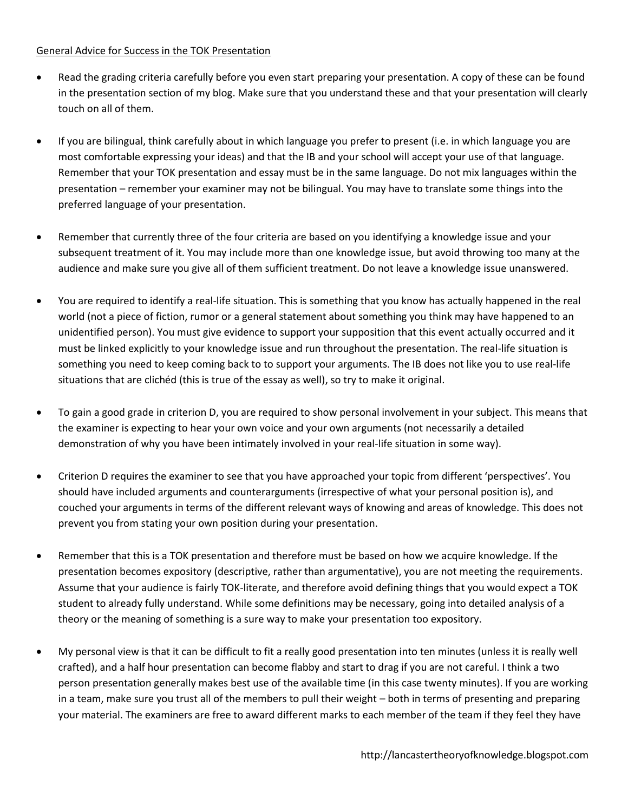## General Advice for Success in the TOK Presentation

- Read the grading criteria carefully before you even start preparing your presentation. A copy of these can be found in the presentation section of my blog. Make sure that you understand these and that your presentation will clearly touch on all of them.
- If you are bilingual, think carefully about in which language you prefer to present (i.e. in which language you are most comfortable expressing your ideas) and that the IB and your school will accept your use of that language. Remember that your TOK presentation and essay must be in the same language. Do not mix languages within the presentation – remember your examiner may not be bilingual. You may have to translate some things into the preferred language of your presentation.
- Remember that currently three of the four criteria are based on you identifying a knowledge issue and your subsequent treatment of it. You may include more than one knowledge issue, but avoid throwing too many at the audience and make sure you give all of them sufficient treatment. Do not leave a knowledge issue unanswered.
- You are required to identify a real-life situation. This is something that you know has actually happened in the real world (not a piece of fiction, rumor or a general statement about something you think may have happened to an unidentified person). You must give evidence to support your supposition that this event actually occurred and it must be linked explicitly to your knowledge issue and run throughout the presentation. The real-life situation is something you need to keep coming back to to support your arguments. The IB does not like you to use real-life situations that are clichéd (this is true of the essay as well), so try to make it original.
- To gain a good grade in criterion D, you are required to show personal involvement in your subject. This means that the examiner is expecting to hear your own voice and your own arguments (not necessarily a detailed demonstration of why you have been intimately involved in your real-life situation in some way).
- Criterion D requires the examiner to see that you have approached your topic from different 'perspectives'. You should have included arguments and counterarguments (irrespective of what your personal position is), and couched your arguments in terms of the different relevant ways of knowing and areas of knowledge. This does not prevent you from stating your own position during your presentation.
- Remember that this is a TOK presentation and therefore must be based on how we acquire knowledge. If the presentation becomes expository (descriptive, rather than argumentative), you are not meeting the requirements. Assume that your audience is fairly TOK-literate, and therefore avoid defining things that you would expect a TOK student to already fully understand. While some definitions may be necessary, going into detailed analysis of a theory or the meaning of something is a sure way to make your presentation too expository.
- My personal view is that it can be difficult to fit a really good presentation into ten minutes (unless it is really well crafted), and a half hour presentation can become flabby and start to drag if you are not careful. I think a two person presentation generally makes best use of the available time (in this case twenty minutes). If you are working in a team, make sure you trust all of the members to pull their weight – both in terms of presenting and preparing your material. The examiners are free to award different marks to each member of the team if they feel they have